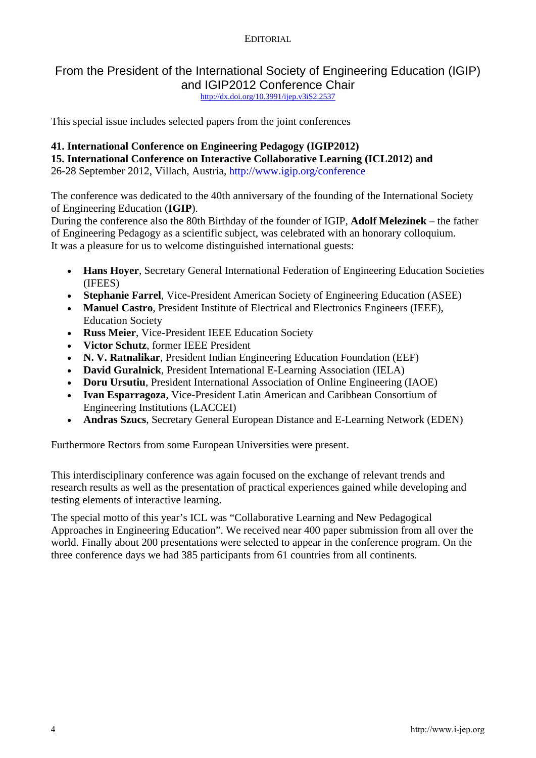# From the President of the International Society of Engineering Education (IGIP) and IGIP2012 Conference Chair

<http://dx.doi.org/10.3991/ijep.v3iS2.2537>

This special issue includes selected papers from the joint conferences

### **41. International Conference on Engineering Pedagogy (IGIP2012)**

**15. International Conference on Interactive Collaborative Learning (ICL2012) and** 

26-28 September 2012, Villach, Austria, http://www.igip.org/conference

The conference was dedicated to the 40th anniversary of the founding of the International Society of Engineering Education (**IGIP**).

During the conference also the 80th Birthday of the founder of IGIP, **Adolf Melezinek** – the father of Engineering Pedagogy as a scientific subject, was celebrated with an honorary colloquium. It was a pleasure for us to welcome distinguished international guests:

- **Hans Hoyer**, Secretary General International Federation of Engineering Education Societies (IFEES)
- **Stephanie Farrel**, Vice-President American Society of Engineering Education (ASEE)
- **Manuel Castro**, President Institute of Electrical and Electronics Engineers (IEEE), Education Society
- **Russ Meier**, Vice-President IEEE Education Society
- **Victor Schutz**, former IEEE President
- **N. V. Ratnalikar**, President Indian Engineering Education Foundation (EEF)
- **David Guralnick**, President International E-Learning Association (IELA)
- **Doru Ursutiu**, President International Association of Online Engineering (IAOE)
- **Ivan Esparragoza**, Vice-President Latin American and Caribbean Consortium of Engineering Institutions (LACCEI)
- **Andras Szucs**, Secretary General European Distance and E-Learning Network (EDEN)

Furthermore Rectors from some European Universities were present.

This interdisciplinary conference was again focused on the exchange of relevant trends and research results as well as the presentation of practical experiences gained while developing and testing elements of interactive learning.

The special motto of this year's ICL was "Collaborative Learning and New Pedagogical Approaches in Engineering Education". We received near 400 paper submission from all over the world. Finally about 200 presentations were selected to appear in the conference program. On the three conference days we had 385 participants from 61 countries from all continents.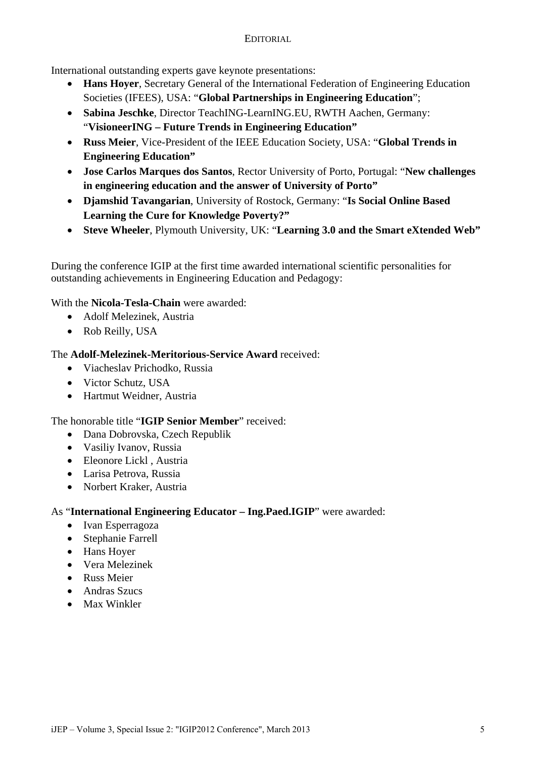International outstanding experts gave keynote presentations:

- **Hans Hoyer**, Secretary General of the International Federation of Engineering Education Societies (IFEES), USA: "**Global Partnerships in Engineering Education**";
- **Sabina Jeschke**, Director TeachING-LearnING.EU, RWTH Aachen, Germany: "**VisioneerING – Future Trends in Engineering Education"**
- **Russ Meier**, Vice-President of the IEEE Education Society, USA: "**Global Trends in Engineering Education"**
- **Jose Carlos Marques dos Santos**, Rector University of Porto, Portugal: "**New challenges in engineering education and the answer of University of Porto"**
- **Djamshid Tavangarian**, University of Rostock, Germany: "**Is Social Online Based Learning the Cure for Knowledge Poverty?"**
- **Steve Wheeler**, Plymouth University, UK: "**Learning 3.0 and the Smart eXtended Web"**

During the conference IGIP at the first time awarded international scientific personalities for outstanding achievements in Engineering Education and Pedagogy:

With the **Nicola-Tesla-Chain** were awarded:

- Adolf Melezinek, Austria
- Rob Reilly, USA

#### The **Adolf-Melezinek-Meritorious-Service Award** received:

- Viacheslav Prichodko, Russia
- Victor Schutz, USA
- Hartmut Weidner, Austria

#### The honorable title "**IGIP Senior Member**" received:

- Dana Dobrovska, Czech Republik
- Vasiliy Ivanov, Russia
- Eleonore Lickl , Austria
- Larisa Petrova, Russia
- Norbert Kraker, Austria

# As "**International Engineering Educator – Ing.Paed.IGIP**" were awarded:

- Ivan Esperragoza
- Stephanie Farrell
- Hans Hover
- Vera Melezinek
- **Russ Meier**
- Andras Szucs
- Max Winkler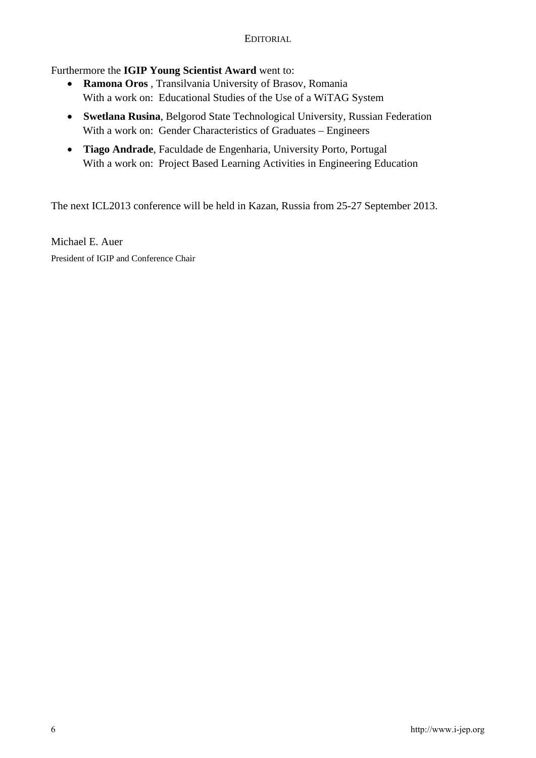## Furthermore the **IGIP Young Scientist Award** went to:

- **Ramona Oros** , Transilvania University of Brasov, Romania With a work on: Educational Studies of the Use of a WiTAG System
- **Swetlana Rusina**, Belgorod State Technological University, Russian Federation With a work on: Gender Characteristics of Graduates – Engineers
- **Tiago Andrade**, Faculdade de Engenharia, University Porto, Portugal With a work on: Project Based Learning Activities in Engineering Education

The next ICL2013 conference will be held in Kazan, Russia from 25-27 September 2013.

Michael E. Auer President of IGIP and Conference Chair